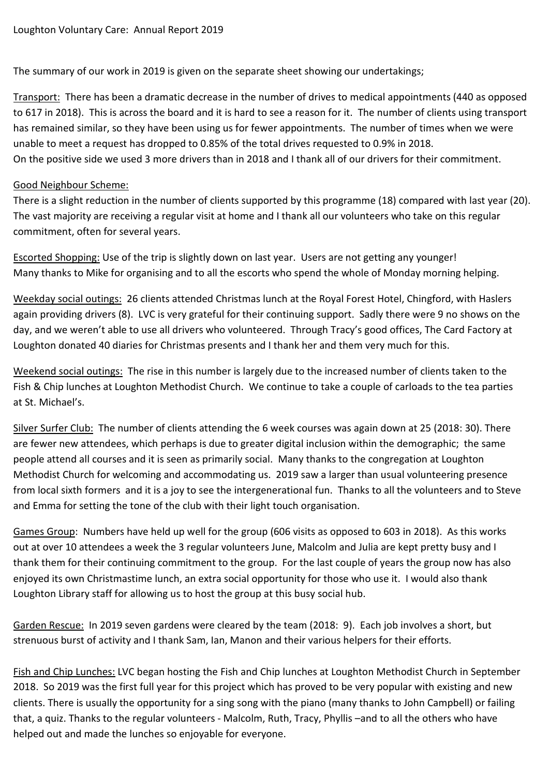The summary of our work in 2019 is given on the separate sheet showing our undertakings;

Transport: There has been a dramatic decrease in the number of drives to medical appointments (440 as opposed to 617 in 2018). This is across the board and it is hard to see a reason for it. The number of clients using transport has remained similar, so they have been using us for fewer appointments. The number of times when we were unable to meet a request has dropped to 0.85% of the total drives requested to 0.9% in 2018. On the positive side we used 3 more drivers than in 2018 and I thank all of our drivers for their commitment.

## Good Neighbour Scheme:

There is a slight reduction in the number of clients supported by this programme (18) compared with last year (20). The vast majority are receiving a regular visit at home and I thank all our volunteers who take on this regular commitment, often for several years.

Escorted Shopping: Use of the trip is slightly down on last year. Users are not getting any younger! Many thanks to Mike for organising and to all the escorts who spend the whole of Monday morning helping.

Weekday social outings: 26 clients attended Christmas lunch at the Royal Forest Hotel, Chingford, with Haslers again providing drivers (8). LVC is very grateful for their continuing support. Sadly there were 9 no shows on the day, and we weren't able to use all drivers who volunteered. Through Tracy's good offices, The Card Factory at Loughton donated 40 diaries for Christmas presents and I thank her and them very much for this.

Weekend social outings: The rise in this number is largely due to the increased number of clients taken to the Fish & Chip lunches at Loughton Methodist Church. We continue to take a couple of carloads to the tea parties at St. Michael's.

Silver Surfer Club:The number of clients attending the 6 week courses was again down at 25 (2018: 30). There are fewer new attendees, which perhaps is due to greater digital inclusion within the demographic; the same people attend all courses and it is seen as primarily social. Many thanks to the congregation at Loughton Methodist Church for welcoming and accommodating us. 2019 saw a larger than usual volunteering presence from local sixth formers and it is a joy to see the intergenerational fun. Thanks to all the volunteers and to Steve and Emma for setting the tone of the club with their light touch organisation.

Games Group: Numbers have held up well for the group (606 visits as opposed to 603 in 2018). As this works out at over 10 attendees a week the 3 regular volunteers June, Malcolm and Julia are kept pretty busy and I thank them for their continuing commitment to the group. For the last couple of years the group now has also enjoyed its own Christmastime lunch, an extra social opportunity for those who use it. I would also thank Loughton Library staff for allowing us to host the group at this busy social hub.

Garden Rescue: In 2019 seven gardens were cleared by the team (2018: 9). Each job involves a short, but strenuous burst of activity and I thank Sam, Ian, Manon and their various helpers for their efforts.

Fish and Chip Lunches: LVC began hosting the Fish and Chip lunches at Loughton Methodist Church in September 2018. So 2019 was the first full year for this project which has proved to be very popular with existing and new clients. There is usually the opportunity for a sing song with the piano (many thanks to John Campbell) or failing that, a quiz. Thanks to the regular volunteers - Malcolm, Ruth, Tracy, Phyllis –and to all the others who have helped out and made the lunches so enjoyable for everyone.